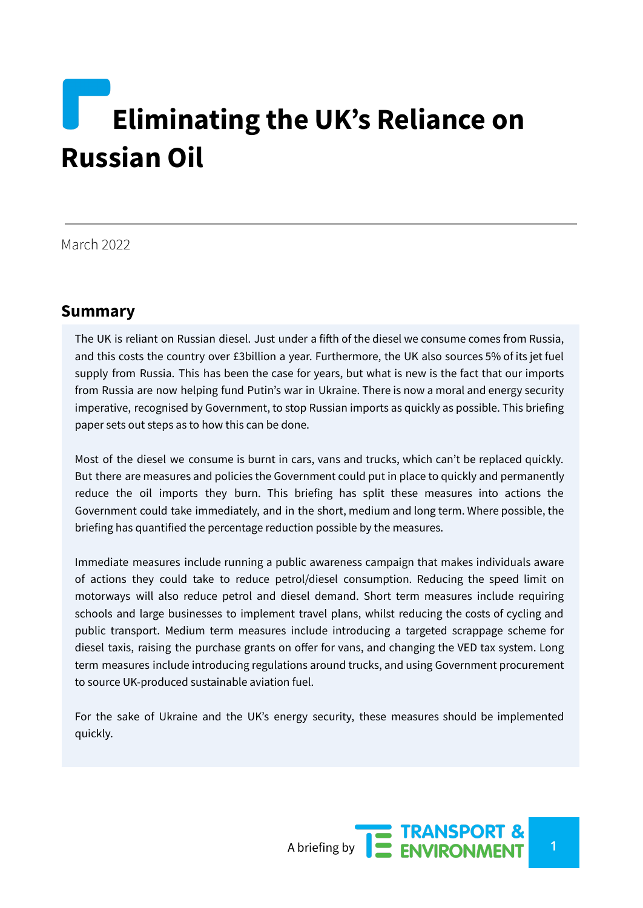# **Eliminating the UK's Reliance on Russian Oil**

March 2022

## **Summary**

The UK is reliant on Russian diesel. Just under a fifth of the diesel we consume comes from Russia, and this costs the country over £3billion a year. Furthermore, the UK also sources 5% of its jet fuel supply from Russia. This has been the case for years, but what is new is the fact that our imports from Russia are now helping fund Putin's war in Ukraine. There is now a moral and energy security imperative, recognised by Government, to stop Russian imports as quickly as possible. This briefing paper sets out steps as to how this can be done.

Most of the diesel we consume is burnt in cars, vans and trucks, which can't be replaced quickly. But there are measures and policies the Government could put in place to quickly and permanently reduce the oil imports they burn. This briefing has split these measures into actions the Government could take immediately, and in the short, medium and long term. Where possible, the briefing has quantified the percentage reduction possible by the measures.

Immediate measures include running a public awareness campaign that makes individuals aware of actions they could take to reduce petrol/diesel consumption. Reducing the speed limit on motorways will also reduce petrol and diesel demand. Short term measures include requiring schools and large businesses to implement travel plans, whilst reducing the costs of cycling and public transport. Medium term measures include introducing a targeted scrappage scheme for diesel taxis, raising the purchase grants on offer for vans, and changing the VED tax system. Long term measures include introducing regulations around trucks, and using Government procurement to source UK-produced sustainable aviation fuel.

For the sake of Ukraine and the UK's energy security, these measures should be implemented quickly.

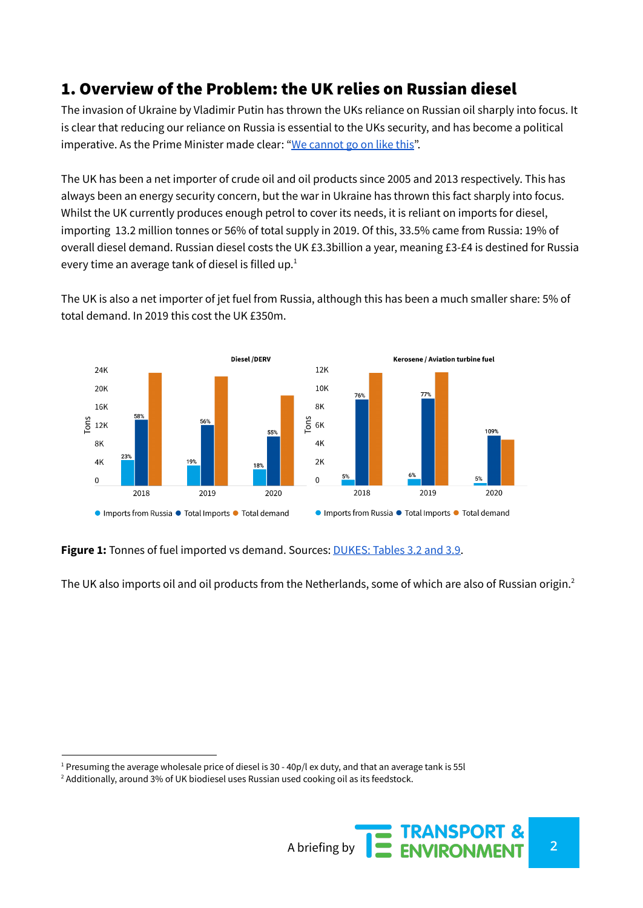# 1. Overview of the Problem: the UK relies on Russian diesel

The invasion of Ukraine by Vladimir Putin has thrown the UKs reliance on Russian oil sharply into focus. It is clear that reducing our reliance on Russia is essential to the UKs security, and has become a political imperative. As the Prime Minister made clear: "We [cannot](https://www.telegraph.co.uk/politics/2022/03/14/cannot-go-like-west-must-end-dependence-vladimir-putin/) go on like this".

The UK has been a net importer of crude oil and oil products since 2005 and 2013 respectively. This has always been an energy security concern, but the war in Ukraine has thrown this fact sharply into focus. Whilst the UK currently produces enough petrol to cover its needs, it is reliant on imports for diesel, importing 13.2 million tonnes or 56% of total supply in 2019. Of this, 33.5% came from Russia: 19% of overall diesel demand. Russian diesel costs the UK £3.3billion a year, meaning £3-£4 is destined for Russia every time an average tank of diesel is filled up. $^1$ 

The UK is also a net importer of jet fuel from Russia, although this has been a much smaller share: 5% of total demand. In 2019 this cost the UK £350m.



**Figure 1:** Tonnes of fuel imported vs demand. Sources: [DUKES:](https://www.gov.uk/government/statistics/petroleum-chapter-3-digest-of-united-kingdom-energy-statistics-dukes) Tables 3.2 and 3.9.

The UK also imports oil and oil products from the Netherlands, some of which are also of Russian origin. $^2$ 

<sup>&</sup>lt;sup>2</sup> Additionally, around 3% of UK biodiesel uses Russian used cooking oil as its feedstock.



<sup>&</sup>lt;sup>1</sup> Presuming the average wholesale price of diesel is 30 - 40p/l ex duty, and that an average tank is 55l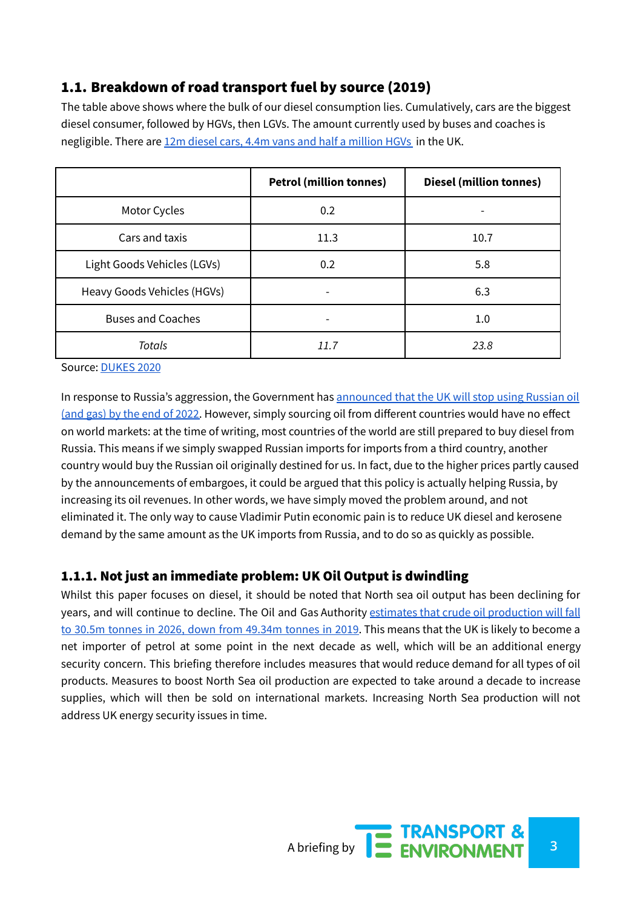## 1.1. Breakdown of road transport fuel by source (2019)

The table above shows where the bulk of our diesel consumption lies. Cumulatively, cars are the biggest diesel consumer, followed by HGVs, then LGVs. The amount currently used by buses and coaches is negligible. There are 12m diesel cars, 4.4m vans and half a [million](https://www.gov.uk/government/collections/vehicles-statistics) HGVs [i](https://paperpile.com/c/Qz6BbQ/GDFm)n the UK.

|                             | <b>Petrol (million tonnes)</b> | <b>Diesel (million tonnes)</b> |
|-----------------------------|--------------------------------|--------------------------------|
| Motor Cycles                | 0.2                            |                                |
| Cars and taxis              | 11.3                           | 10.7                           |
| Light Goods Vehicles (LGVs) | 0.2                            | 5.8                            |
| Heavy Goods Vehicles (HGVs) |                                | 6.3                            |
| <b>Buses and Coaches</b>    |                                | $1.0\,$                        |
| Totals                      | 11.7                           | 23.8                           |

Source: [DUKES](https://www.gov.uk/government/statistics/digest-of-uk-energy-statistics-dukes-2020) 2020

In response to Russia's aggression, the Government has [announced](https://www.theguardian.com/world/2022/mar/08/no-10-plans-cut-russian-fossil-fuels-use) that the UK will stop using Russian oil (and gas) by the end of [2022.](https://www.theguardian.com/world/2022/mar/08/no-10-plans-cut-russian-fossil-fuels-use) However, simply sourcing oil from different countries would have no effect on world markets: at the time of writing, most countries of the world are still prepared to buy diesel from Russia. This means if we simply swapped Russian imports for imports from a third country, another country would buy the Russian oil originally destined for us. In fact, due to the higher prices partly caused by the announcements of embargoes, it could be argued that this policy is actually helping Russia, by increasing its oil revenues. In other words, we have simply moved the problem around, and not eliminated it. The only way to cause Vladimir Putin economic pain is to reduce UK diesel and kerosene demand by the same amount as the UK imports from Russia, and to do so as quickly as possible.

## 1.1.1. Not just an immediate problem: UK Oil Output is dwindling

Whilst this paper focuses on diesel, it should be noted that North sea oil output has been declining for years, and will continue to decline. The Oil and Gas Authority estimates that crude oil [production](https://www.ogauthority.co.uk/data-centre/data-downloads-and-publications/production-projections/) will fall to 30.5m tonnes in 2026, down from [49.34m](https://www.ogauthority.co.uk/data-centre/data-downloads-and-publications/production-projections/) tonnes in 2019. This means that the UK is likely to become a net importer of petrol at some point in the next decade as well, which will be an additional energy security concern. This briefing therefore includes measures that would reduce demand for all types of oil products. Measures to boost North Sea oil production are expected to take around a decade to increase supplies, which will then be sold on international markets. Increasing North Sea production will not address UK energy security issues in time.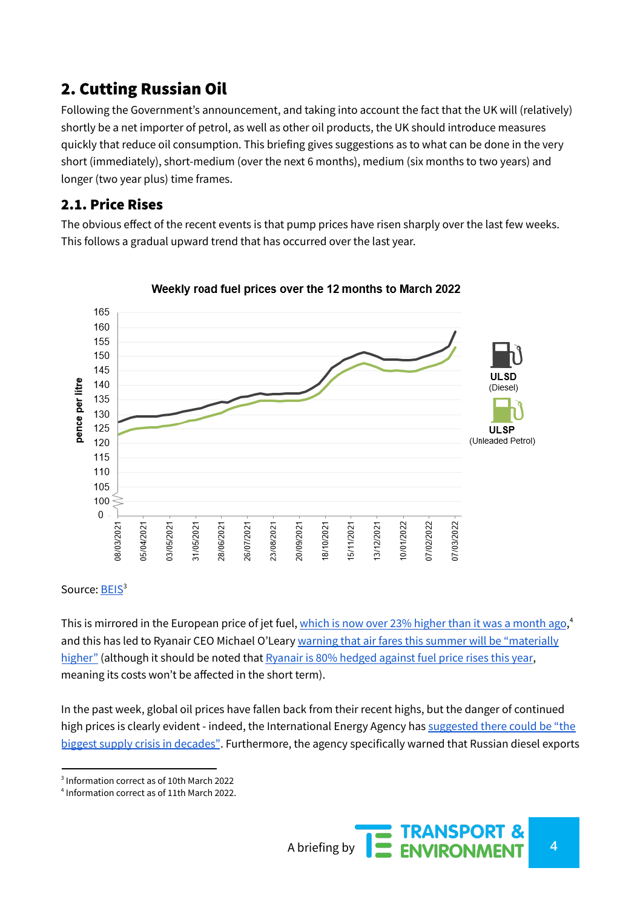# 2. Cutting Russian Oil

Following the Government's announcement, and taking into account the fact that the UK will (relatively) shortly be a net importer of petrol, as well as other oil products, the UK should introduce measures quickly that reduce oil consumption. This briefing gives suggestions as to what can be done in the very short (immediately), short-medium (over the next 6 months), medium (six months to two years) and longer (two year plus) time frames.

## 2.1. Price Rises

The obvious effect of the recent events is that pump prices have risen sharply over the last few weeks. This follows a gradual upward trend that has occurred over the last year.



#### Weekly road fuel prices over the 12 months to March 2022

#### Source: [BEIS](https://www.gov.uk/government/statistics/weekly-road-fuel-prices)<sup>3</sup>

This is mirrored in the European price of jet fuel, <u>which is now over 23% higher than it was a [month](https://www.iata.org/en/publications/economics/fuel-monitor/) ago</u>,<sup>4</sup> and this has led to Ryanair CEO Michael O'Leary warning that air fares this summer will be ["materially](https://www.bbc.co.uk/news/business-60584219) [higher"](https://www.bbc.co.uk/news/business-60584219) (although it should be noted that [Ryanair](https://www.ft.com/content/2bbb3a7d-00e2-4043-b85a-593eb116a9fe) is 80% hedged against fuel price rises this year, meaning its costs won't be affected in the short term).

In the past week, global oil prices have fallen back from their recent highs, but the danger of continued high prices is clearly evident - indeed, the International Energy Agency has [suggested](https://www.thetimes.co.uk/article/russian-oil-shortfall-threatens-biggest-supply-crisis-in-decades-flvjj526f#:~:text=Oil%20markets%20are%20facing%20%E2%80%9Cthe,International%20Energy%20Agency%20has%20warned.) there could be "the biggest supply crisis in [decades"](https://www.thetimes.co.uk/article/russian-oil-shortfall-threatens-biggest-supply-crisis-in-decades-flvjj526f#:~:text=Oil%20markets%20are%20facing%20%E2%80%9Cthe,International%20Energy%20Agency%20has%20warned.). Furthermore, the agency specifically warned that Russian diesel exports

3 Information correct as of 10th March 2022

<sup>4</sup> Information correct as of 11th March 2022.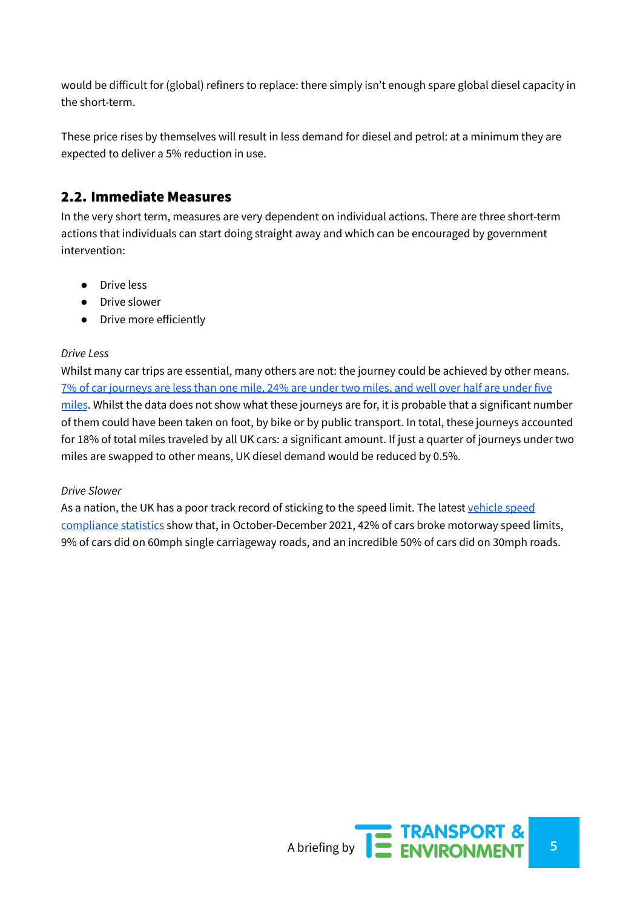would be difficult for (global) refiners to replace: there simply isn't enough spare global diesel capacity in the short-term.

These price rises by themselves will result in less demand for diesel and petrol: at a minimum they are expected to deliver a 5% reduction in use.

## 2.2. Immediate Measures

In the very short term, measures are very dependent on individual actions. There are three short-term actions that individuals can start doing straight away and which can be encouraged by government intervention:

- Drive less
- Drive slower
- Drive more efficiently

#### *Drive Less*

Whilst many car trips are essential, many others are not: the journey could be achieved by other means. 7% of car [journeys](https://www.gov.uk/government/statistical-data-sets/nts03-modal-comparisons) are less than one mile, 24% are under two miles, and well over half are under five [miles](https://www.gov.uk/government/statistical-data-sets/nts03-modal-comparisons). Whilst the data does not show what these journeys are for, it is probable that a significant number of them could have been taken on foot, by bike or by public transport. In total, these journeys accounted for 18% of total miles traveled by all UK cars: a significant amount. If just a quarter of journeys under two miles are swapped to other means, UK diesel demand would be reduced by 0.5%.

#### *Drive Slower*

As a nation, the UK has a poor track record of sticking to the speed limit. The latest [vehicle](https://www.gov.uk/government/statistics/vehicle-speed-compliance-statistics-for-great-britain-october-to-december-2021/vehicle-speed-compliance-statistics-for-great-britain-october-to-december-2021) speed [compliance](https://www.gov.uk/government/statistics/vehicle-speed-compliance-statistics-for-great-britain-october-to-december-2021/vehicle-speed-compliance-statistics-for-great-britain-october-to-december-2021) statistics show that, in October-December 2021, 42% of cars broke motorway speed limits, 9% of cars did on 60mph single carriageway roads, and an incredible 50% of cars did on 30mph roads.

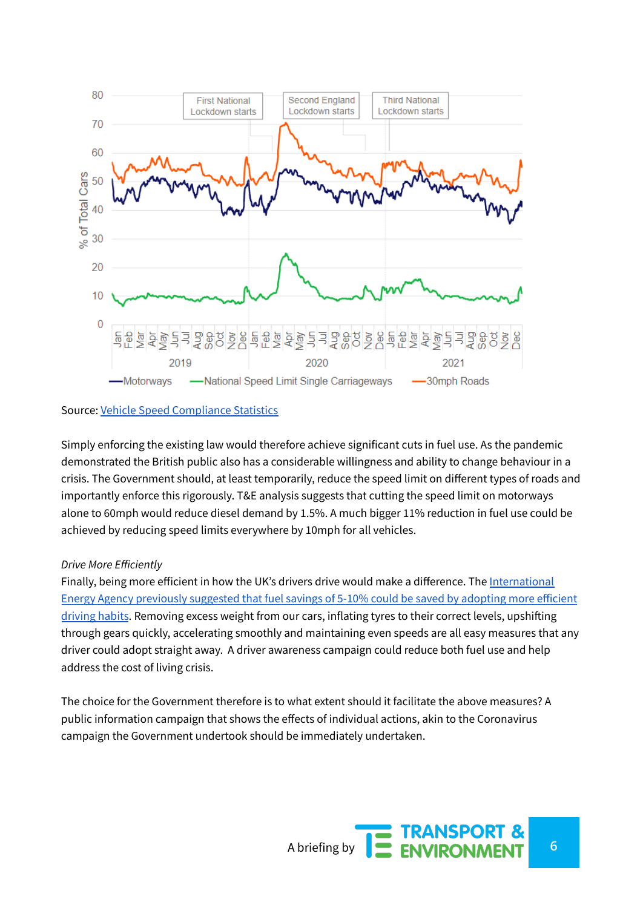

#### Source: Vehicle Speed [Compliance](https://www.gov.uk/government/statistics/vehicle-speed-compliance-statistics-for-great-britain-october-to-december-2021/vehicle-speed-compliance-statistics-for-great-britain-october-to-december-2021) Statistics

Simply enforcing the existing law would therefore achieve significant cuts in fuel use. As the pandemic demonstrated the British public also has a considerable willingness and ability to change behaviour in a crisis. The Government should, at least temporarily, reduce the speed limit on different types of roads and importantly enforce this rigorously. T&E analysis suggests that cutting the speed limit on motorways alone to 60mph would reduce diesel demand by 1.5%. A much bigger 11% reduction in fuel use could be achieved by reducing speed limits everywhere by 10mph for all vehicles.

#### *Drive More Efficiently*

Finally, being more efficient in how the UK's drivers drive would make a difference. The [International](https://iea.blob.core.windows.net/assets/194d57e4-9126-425f-a1b3-7a25e097b677/Insights_Series_2018_Saving_Oil_in_a_Hurry.pdf) Energy Agency [previously](https://iea.blob.core.windows.net/assets/194d57e4-9126-425f-a1b3-7a25e097b677/Insights_Series_2018_Saving_Oil_in_a_Hurry.pdf) suggested that fuel savings of 5-10% could be saved by adopting more efficient [driving](https://iea.blob.core.windows.net/assets/194d57e4-9126-425f-a1b3-7a25e097b677/Insights_Series_2018_Saving_Oil_in_a_Hurry.pdf) habits. Removing excess weight from our cars, inflating tyres to their correct levels, upshifting through gears quickly, accelerating smoothly and maintaining even speeds are all easy measures that any driver could adopt straight away. A driver awareness campaign could reduce both fuel use and help address the cost of living crisis.

The choice for the Government therefore is to what extent should it facilitate the above measures? A public information campaign that shows the effects of individual actions, akin to the Coronavirus campaign the Government undertook should be immediately undertaken.

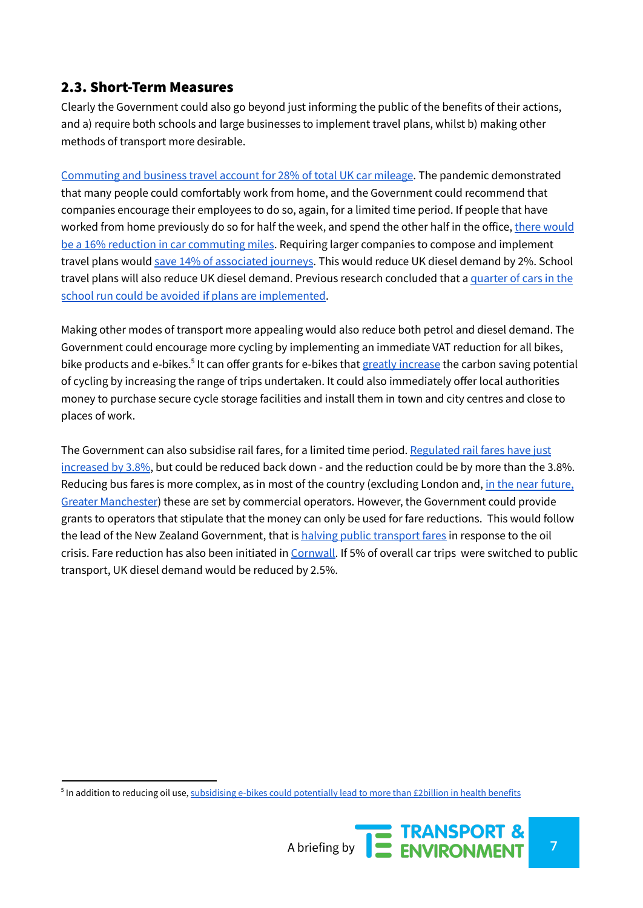## 2.3. Short-Term Measures

Clearly the Government could also go beyond just informing the public of the benefits of their actions, and a) require both schools and large businesses to implement travel plans, whilst b) making other methods of transport more desirable.

[Commuting](https://www.gov.uk/government/statistical-data-sets/nts04-purpose-of-trips) and business travel account for 28% of total UK car mileage. The pandemic demonstrated that many people could comfortably work from home, and the Government could recommend that companies encourage their employees to do so, again, for a limited time period. If people that have worked from home previously do so for half the week, and spend the other half in the office, there [would](https://www.creds.ac.uk/publications/less-is-more-changing-travel-in-a-post-pandemic-society/#1-2) be a 16% reduction in car [commuting](https://www.creds.ac.uk/publications/less-is-more-changing-travel-in-a-post-pandemic-society/#1-2) miles. Requiring larger companies to compose and implement travel plans would save 14% of [associated](https://www.transportforqualityoflife.com/u/files/Smarter_Choices_Changing_The_Way_We_Travel_chapter3.pdf) journeys. This would reduce UK diesel demand by 2%. School travel plans will also reduce UK diesel demand. Previous research concluded that a [quarter](https://democracy.york.gov.uk/documents/s44929/Annex%20A.pdf) of cars in the school run could be avoided if plans are [implemented](https://democracy.york.gov.uk/documents/s44929/Annex%20A.pdf).

Making other modes of transport more appealing would also reduce both petrol and diesel demand. The Government could encourage more cycling by implementing an immediate VAT reduction for all bikes, bike products and e-bikes.<sup>5</sup> It can offer grants for e-bikes that greatly [increase](https://www.creds.ac.uk/e-bikes-could-slash-transport-emissions-and-get-britons-back-to-work/#:~:text=CREDS%20researchers%20from%20the%20University,30%20million%20tonnes%20per%20year.) the carbon saving potential of cycling by increasing the range of trips undertaken. It could also immediately offer local authorities money to purchase secure cycle storage facilities and install them in town and city centres and close to places of work.

The Government can also subsidise rail fares, for a limited time period. [Regulated](https://www.gov.uk/government/news/rail-fares-capped-to-prevent-high-increases-for-passengers) rail fares have just [increased](https://www.gov.uk/government/news/rail-fares-capped-to-prevent-high-increases-for-passengers) by 3.8%, but could be reduced back down - and the reduction could be by more than the 3.8%. Reducing bus fares is more complex, as in most of the country (excluding London and, in the near [future,](https://www.theguardian.com/uk-news/2022/mar/14/andy-burnham-cap-greater-manchester-bus-fares-2-pounds) Greater [Manchester](https://www.theguardian.com/uk-news/2022/mar/14/andy-burnham-cap-greater-manchester-bus-fares-2-pounds)) these are set by commercial operators. However, the Government could provide grants to operators that stipulate that the money can only be used for fare reductions. This would follow the lead of the New Zealand Government, that is halving public [transport](https://www.theguardian.com/world/2022/mar/14/new-zealand-halves-public-transport-fares-as-petrol-prices-soar-amid-russia-ukraine-war) fares in response to the oil crisis. Fare reduction has also been initiated in [Cornwall.](https://www.cornwall.gov.uk/council-news/transport-streets-and-waste/council-welcomes-reduced-bus-fare-initiatives-in-boost-to-low-carbon-travel/) If 5% of overall car trips were switched to public transport, UK diesel demand would be reduced by 2.5%.

<sup>&</sup>lt;sup>5</sup> In addition to reducing oil use, <u>[subsidising](https://www.theguardian.com/politics/2022/mar/13/uk-ministers-urged-subsidise-e-bikes-tackle-health-and-climate-crises?fbclid=IwAR20ySylUHUGc8SFnHK4ucFQXSoFptG6Z2_ZvhTxU0iUxDYr1BVkzjl3MW0) e-bikes could potentially lead to more than £2billion in health benefits</u>

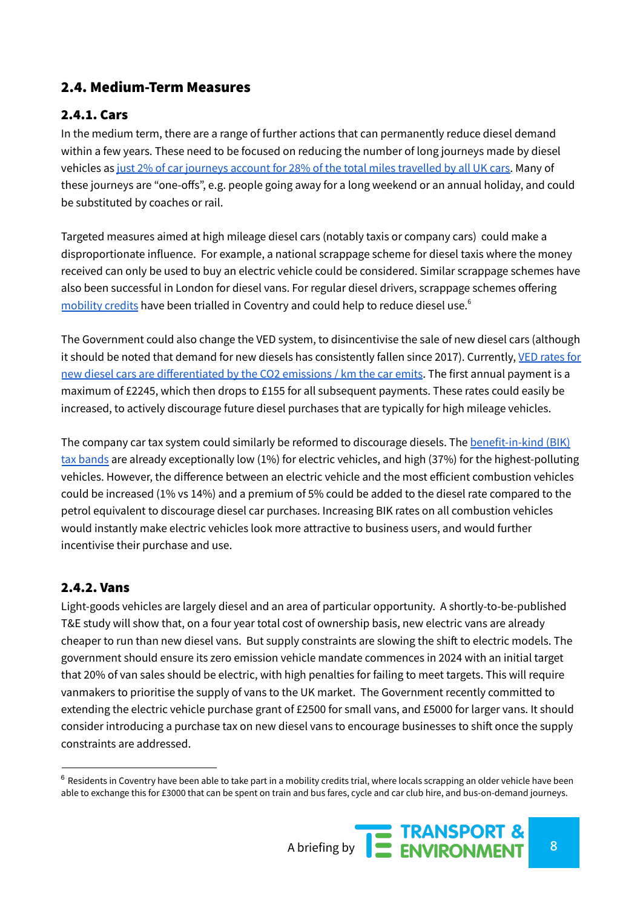## 2.4. Medium-Term Measures

## 2.4.1. Cars

In the medium term, there are a range of further actions that can permanently reduce diesel demand within a few years. These need to be focused on reducing the number of long journeys made by diesel vehicles as just 2% of car journeys account for 28% of the total miles [travelled](https://tps.org.uk/public/downloads/P0_Ey/SON%20Final%20report%20rev.pdf) by all UK cars. Many of these journeys are "one-offs", e.g. people going away for a long weekend or an annual holiday, and could be substituted by coaches or rail.

Targeted measures aimed at high mileage diesel cars (notably taxis or company cars) could make a disproportionate influence. For example, a national scrappage scheme for diesel taxis where the money received can only be used to buy an electric vehicle could be considered. Similar scrappage schemes have also been successful in London for diesel vans. For regular diesel drivers, scrappage schemes offering [mobility](https://www.youtube.com/watch?v=z_Akw4r0kHE) credits have been trialled in Coventry and could help to reduce diesel use.<sup>6</sup>

The Government could also change the VED system, to disincentivise the sale of new diesel cars (although it should be noted that demand for new diesels has consistently fallen since 2017). Currently, VED [rates](https://www.gov.uk/vehicle-tax-rate-tables) for new diesel cars are [differentiated](https://www.gov.uk/vehicle-tax-rate-tables) by the CO2 emissions / km the car emits. The first annual payment is a maximum of £2245, which then drops to £155 for all subsequent payments. These rates could easily be increased, to actively discourage future diesel purchases that are typically for high mileage vehicles.

The company car tax system could similarly be reformed to discourage diesels. The [benefit-in-kind](https://www.fleetnews.co.uk/fleet-faq/what-are-the-current-bik-bands-/3/) (BIK) tax [bands](https://www.fleetnews.co.uk/fleet-faq/what-are-the-current-bik-bands-/3/) are already exceptionally low (1%) for electric vehicles, and high (37%) for the highest-polluting vehicles. However, the difference between an electric vehicle and the most efficient combustion vehicles could be increased (1% vs 14%) and a premium of 5% could be added to the diesel rate compared to the petrol equivalent to discourage diesel car purchases. Increasing BIK rates on all combustion vehicles would instantly make electric vehicles look more attractive to business users, and would further incentivise their purchase and use.

## 2.4.2. Vans

Light-goods vehicles are largely diesel and an area of particular opportunity. A shortly-to-be-published T&E study will show that, on a four year total cost of ownership basis, new electric vans are already cheaper to run than new diesel vans. But supply constraints are slowing the shift to electric models. The government should ensure its zero emission vehicle mandate commences in 2024 with an initial target that 20% of van sales should be electric, with high penalties for failing to meet targets. This will require vanmakers to prioritise the supply of vans to the UK market. The Government recently committed to extending the electric vehicle purchase grant of £2500 for small vans, and £5000 for larger vans. It should consider introducing a purchase tax on new diesel vans to encourage businesses to shift once the supply constraints are addressed.

 $6$  Residents in Coventry have been able to take part in a mobility credits trial, where locals scrapping an older vehicle have been able to exchange this for £3000 that can be spent on train and bus fares, cycle and car club hire, and bus-on-demand journeys.

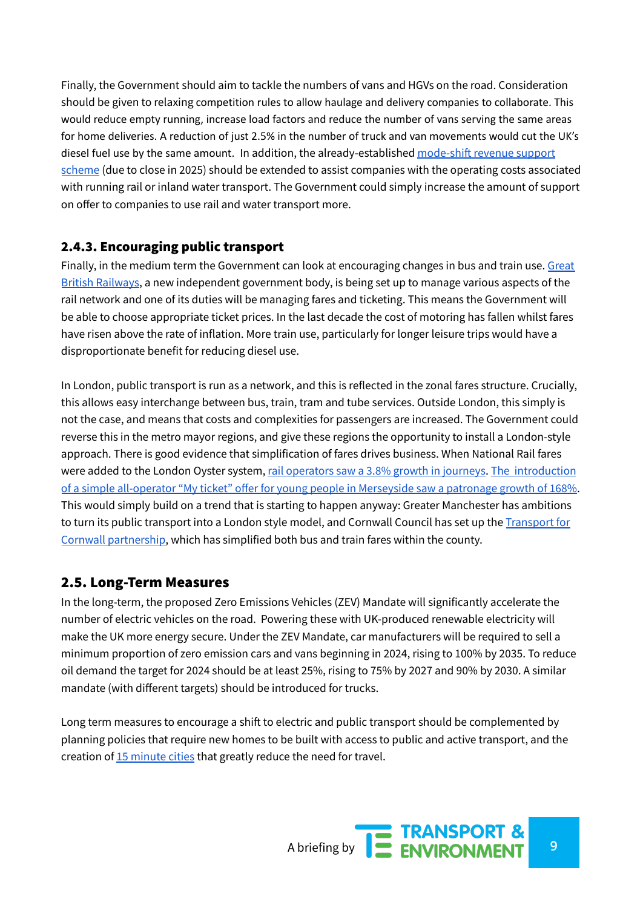Finally, the Government should aim to tackle the numbers of vans and HGVs on the road. Consideration should be given to relaxing competition rules to allow haulage and delivery companies to collaborate. This would reduce empty running, increase load factors and reduce the number of vans serving the same areas for home deliveries. A reduction of just 2.5% in the number of truck and van movements would cut the UK's diesel fuel use by the same amount. In addition, the already-established [mode-shift](https://www.gov.uk/government/publications/department-for-transport-delivers-more-grant-funding-to-transport-freight-by-rail/mode-shift-revenue-support-and-waterborne-freight-grant-applications-and-background-information) revenue support [scheme](https://www.gov.uk/government/publications/department-for-transport-delivers-more-grant-funding-to-transport-freight-by-rail/mode-shift-revenue-support-and-waterborne-freight-grant-applications-and-background-information) (due to close in 2025) should be extended to assist companies with the operating costs associated with running rail or inland water transport. The Government could simply increase the amount of support on offer to companies to use rail and water transport more.

## 2.4.3. Encouraging public transport

Finally, in the medium term the Government can look at encouraging changes in bus and train use. [Great](https://assets.publishing.service.gov.uk/government/uploads/system/uploads/attachment_data/file/994603/gbr-williams-shapps-plan-for-rail.pdf) British [Railways](https://assets.publishing.service.gov.uk/government/uploads/system/uploads/attachment_data/file/994603/gbr-williams-shapps-plan-for-rail.pdf), a new independent government body, is being set up to manage various aspects of the rail network and one of its duties will be managing fares and ticketing. This means the Government will be able to choose appropriate ticket prices. In the last decade the cost of motoring has fallen whilst fares have risen above the rate of inflation. More train use, particularly for longer leisure trips would have a disproportionate benefit for reducing diesel use.

In London, public transport is run as a network, and this is reflected in the zonal fares structure. Crucially, this allows easy interchange between bus, train, tram and tube services. Outside London, this simply is not the case, and means that costs and complexities for passengers are increased. The Government could reverse this in the metro mayor regions, and give these regions the opportunity to install a London-style approach. There is good evidence that simplification of fares drives business. When National Rail fares were added to the London Oyster system, rail [operators](https://dspace.mit.edu/handle/1721.1/66866) saw a 3.8% growth in journeys. The [introduction](https://www.liverpoolcityregion-ca.gov.uk/what-we-do/transport/) of a simple [all-operator](https://www.liverpoolcityregion-ca.gov.uk/what-we-do/transport/) "My ticket" offer for young people in Merseyside saw a patronage growth of 168%. This would simply build on a trend that is starting to happen anyway: Greater Manchester has ambitions to turn its public transport into a London style model, and Cornwall Council has set up the [Transport](https://www.transportforcornwall.co.uk/) for Cornwall [partnership,](https://www.transportforcornwall.co.uk/) which has simplified both bus and train fares within the county.

## 2.5. Long-Term Measures

In the long-term, the proposed Zero Emissions Vehicles (ZEV) Mandate will significantly accelerate the number of electric vehicles on the road. Powering these with UK-produced renewable electricity will make the UK more energy secure. Under the ZEV Mandate, car manufacturers will be required to sell a minimum proportion of zero emission cars and vans beginning in 2024, rising to 100% by 2035. To reduce oil demand the target for 2024 should be at least 25%, rising to 75% by 2027 and 90% by 2030. A similar mandate (with different targets) should be introduced for trucks.

Long term measures to encourage a shift to electric and public transport should be complemented by planning policies that require new homes to be built with access to public and active transport, and the creation of 15 [minute](https://www.c40knowledgehub.org/s/article/Why-every-city-can-benefit-from-a-15-minute-city-vision?language=en_US&gclid=Cj0KCQjw29CRBhCUARIsAOboZbJK7C2CDluDDukV9lhhRC3Cy_V1d6wp-Z8eYYewmfDWFyPYHR-BsWIaAu8GEALw_wcB) cities that greatly reduce the need for travel.